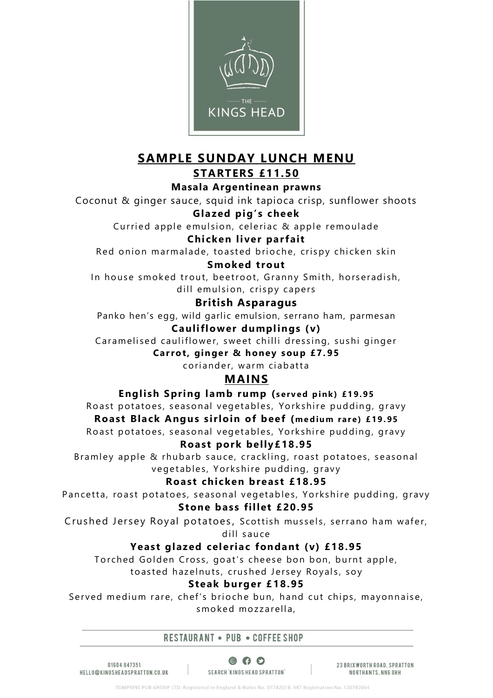

## **SAMPLE SUNDAY LUNCH MENU STARTERS £11.50**

**Masala Argentinean prawns**

Coconut & ginger sauce, squid ink tapioca crisp, sunflower shoots

**Glazed pig's cheek**

Curried apple emulsion, celeriac & apple remoulade

### **Chicken liver parfait**

Red onion marmalade, toasted brioche, crispy chicken skin

### **Smoked trout**

In house smoked trout, beetroot, Granny Smith, horseradish, dill emulsion, crispy capers

### **British Asparagus**

Panko hen's egg, wild garlic emulsion, serrano ham, parmesan

## **Cauliflower dumplings (v)**

Caramelised cauliflower, sweet chilli dressing, sushi ginger

**Carrot, ginger & honey soup £7.95** 

coriander, warm ciabatta

## **MAINS**

**English Spring lamb rump** (served pink) £19.95

Roast potatoes, seasonal vegetables, Yorkshire pudding, gravy **Roast Black Angus sirloin of beef (medium rare) £19.95** Roast potatoes, seasonal vegetables, Yorkshire pudding, gravy

### **Roast pork belly£18.95**

Bramley apple & rhubarb sauce, crackling, roast potatoes, seasonal vegetables, Yorkshire pudding, gravy

### **Roast chicken breast £18.95**

Pancetta, roast potatoes, seasonal vegetables, Yorkshire pudding, gravy **Stone bass fillet £20.95**

Crushed Jersey Royal potatoes, Scottish mussels, serrano ham wafer,

dill sauce

### **Yeast glazed celeriac fondant (v) £18.95**

Torched Golden Cross, goat's cheese bon bon, burnt apple,

to asted hazelnuts, crushed Jersey Royals, soy

### **Steak burger £ 18.95**

Served medium rare, chef's brioche bun, hand cut chips, mayonnaise, smoked mozzarella,

#### RESTAURANT . PUB . COFFEE SHOP

01604847351 HELLO@KINGSHEADSPRATTON.CO.UK

 $\circ$   $\circ$ SEARCH KINGS HEAD SPRATTON'

23 BRIX WORTH ROAD, SPRATTON NORTHANTS, NN6 8HH